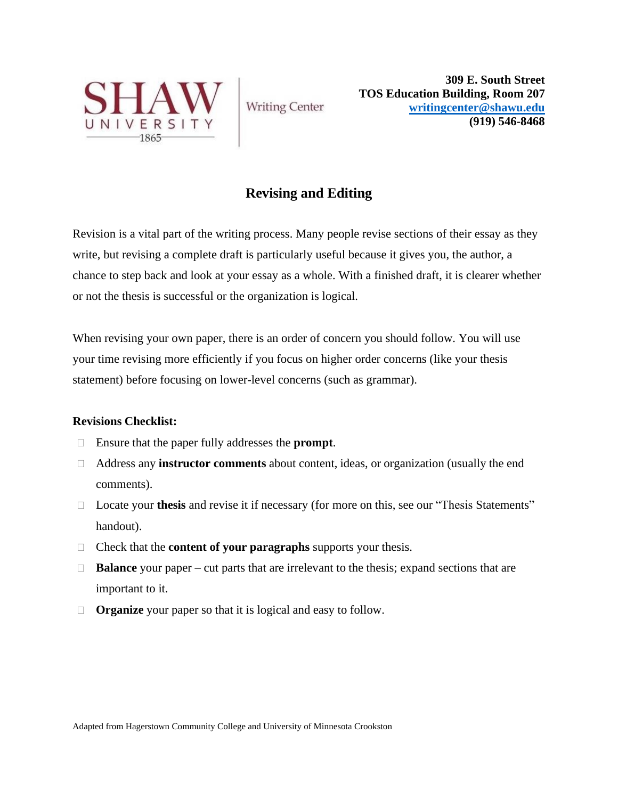

**Writing Center** 

**309 E. South Street TOS Education Building, Room 207 [writingcenter@shawu.edu](mailto:writingcenter@shawu.edu) (919) 546-8468**

# **Revising and Editing**

Revision is a vital part of the writing process. Many people revise sections of their essay as they write, but revising a complete draft is particularly useful because it gives you, the author, a chance to step back and look at your essay as a whole. With a finished draft, it is clearer whether or not the thesis is successful or the organization is logical.

When revising your own paper, there is an order of concern you should follow. You will use your time revising more efficiently if you focus on higher order concerns (like your thesis statement) before focusing on lower-level concerns (such as grammar).

# **Revisions Checklist:**

- Ensure that the paper fully addresses the **prompt**.
- Address any **instructor comments** about content, ideas, or organization (usually the end comments).
- □ Locate your **thesis** and revise it if necessary (for more on this, see our "Thesis Statements" handout).
- Check that the **content of your paragraphs** supports your thesis.
- □ **Balance** your paper cut parts that are irrelevant to the thesis; expand sections that are important to it.
- **Organize** your paper so that it is logical and easy to follow.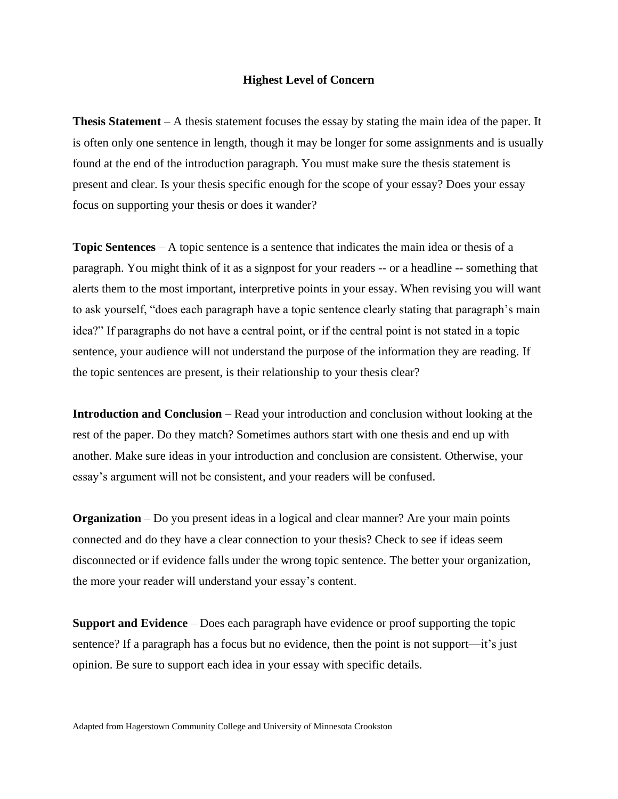#### **Highest Level of Concern**

**Thesis Statement** – A thesis statement focuses the essay by stating the main idea of the paper. It is often only one sentence in length, though it may be longer for some assignments and is usually found at the end of the introduction paragraph. You must make sure the thesis statement is present and clear. Is your thesis specific enough for the scope of your essay? Does your essay focus on supporting your thesis or does it wander?

**Topic Sentences** – A topic sentence is a sentence that indicates the main idea or thesis of a paragraph. You might think of it as a signpost for your readers -- or a headline -- something that alerts them to the most important, interpretive points in your essay. When revising you will want to ask yourself, "does each paragraph have a topic sentence clearly stating that paragraph's main idea?" If paragraphs do not have a central point, or if the central point is not stated in a topic sentence, your audience will not understand the purpose of the information they are reading. If the topic sentences are present, is their relationship to your thesis clear?

**Introduction and Conclusion** – Read your introduction and conclusion without looking at the rest of the paper. Do they match? Sometimes authors start with one thesis and end up with another. Make sure ideas in your introduction and conclusion are consistent. Otherwise, your essay's argument will not be consistent, and your readers will be confused.

**Organization** – Do you present ideas in a logical and clear manner? Are your main points connected and do they have a clear connection to your thesis? Check to see if ideas seem disconnected or if evidence falls under the wrong topic sentence. The better your organization, the more your reader will understand your essay's content.

**Support and Evidence** – Does each paragraph have evidence or proof supporting the topic sentence? If a paragraph has a focus but no evidence, then the point is not support—it's just opinion. Be sure to support each idea in your essay with specific details.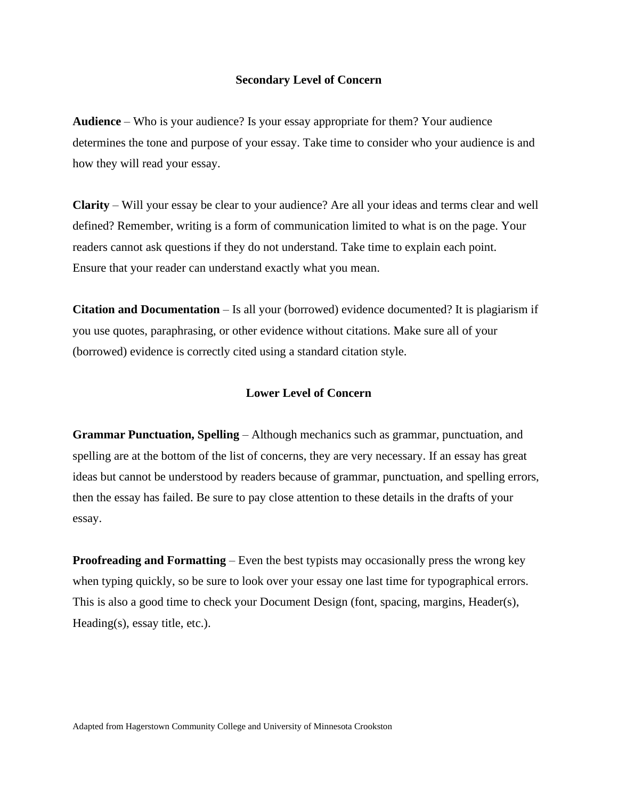#### **Secondary Level of Concern**

**Audience** – Who is your audience? Is your essay appropriate for them? Your audience determines the tone and purpose of your essay. Take time to consider who your audience is and how they will read your essay.

**Clarity** – Will your essay be clear to your audience? Are all your ideas and terms clear and well defined? Remember, writing is a form of communication limited to what is on the page. Your readers cannot ask questions if they do not understand. Take time to explain each point. Ensure that your reader can understand exactly what you mean.

**Citation and Documentation** – Is all your (borrowed) evidence documented? It is plagiarism if you use quotes, paraphrasing, or other evidence without citations. Make sure all of your (borrowed) evidence is correctly cited using a standard citation style.

## **Lower Level of Concern**

**Grammar Punctuation, Spelling** – Although mechanics such as grammar, punctuation, and spelling are at the bottom of the list of concerns, they are very necessary. If an essay has great ideas but cannot be understood by readers because of grammar, punctuation, and spelling errors, then the essay has failed. Be sure to pay close attention to these details in the drafts of your essay.

**Proofreading and Formatting** – Even the best typists may occasionally press the wrong key when typing quickly, so be sure to look over your essay one last time for typographical errors. This is also a good time to check your Document Design (font, spacing, margins, Header(s), Heading(s), essay title, etc.).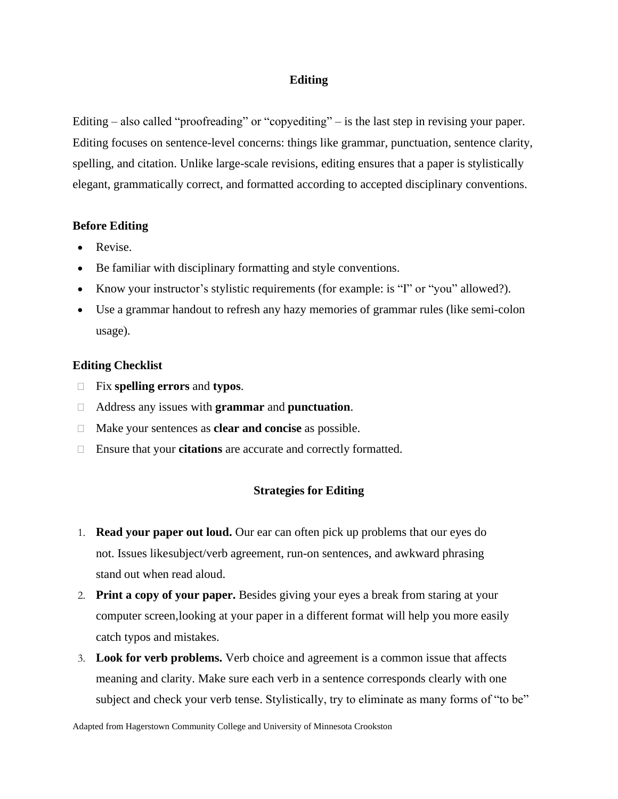## **Editing**

Editing – also called "proofreading" or "copyediting" – is the last step in revising your paper. Editing focuses on sentence-level concerns: things like grammar, punctuation, sentence clarity, spelling, and citation. Unlike large-scale revisions, editing ensures that a paper is stylistically elegant, grammatically correct, and formatted according to accepted disciplinary conventions.

## **Before Editing**

- Revise.
- Be familiar with disciplinary formatting and style conventions.
- Know your instructor's stylistic requirements (for example: is "I" or "you" allowed?).
- Use a grammar handout to refresh any hazy memories of grammar rules (like semi-colon usage).

## **Editing Checklist**

- Fix **spelling errors** and **typos**.
- Address any issues with **grammar** and **punctuation**.
- Make your sentences as **clear and concise** as possible.
- Ensure that your **citations** are accurate and correctly formatted.

# **Strategies for Editing**

- 1. **Read your paper out loud.** Our ear can often pick up problems that our eyes do not. Issues likesubject/verb agreement, run-on sentences, and awkward phrasing stand out when read aloud.
- 2. **Print a copy of your paper.** Besides giving your eyes a break from staring at your computer screen,looking at your paper in a different format will help you more easily catch typos and mistakes.
- 3. **Look for verb problems.** Verb choice and agreement is a common issue that affects meaning and clarity. Make sure each verb in a sentence corresponds clearly with one subject and check your verb tense. Stylistically, try to eliminate as many forms of "to be"